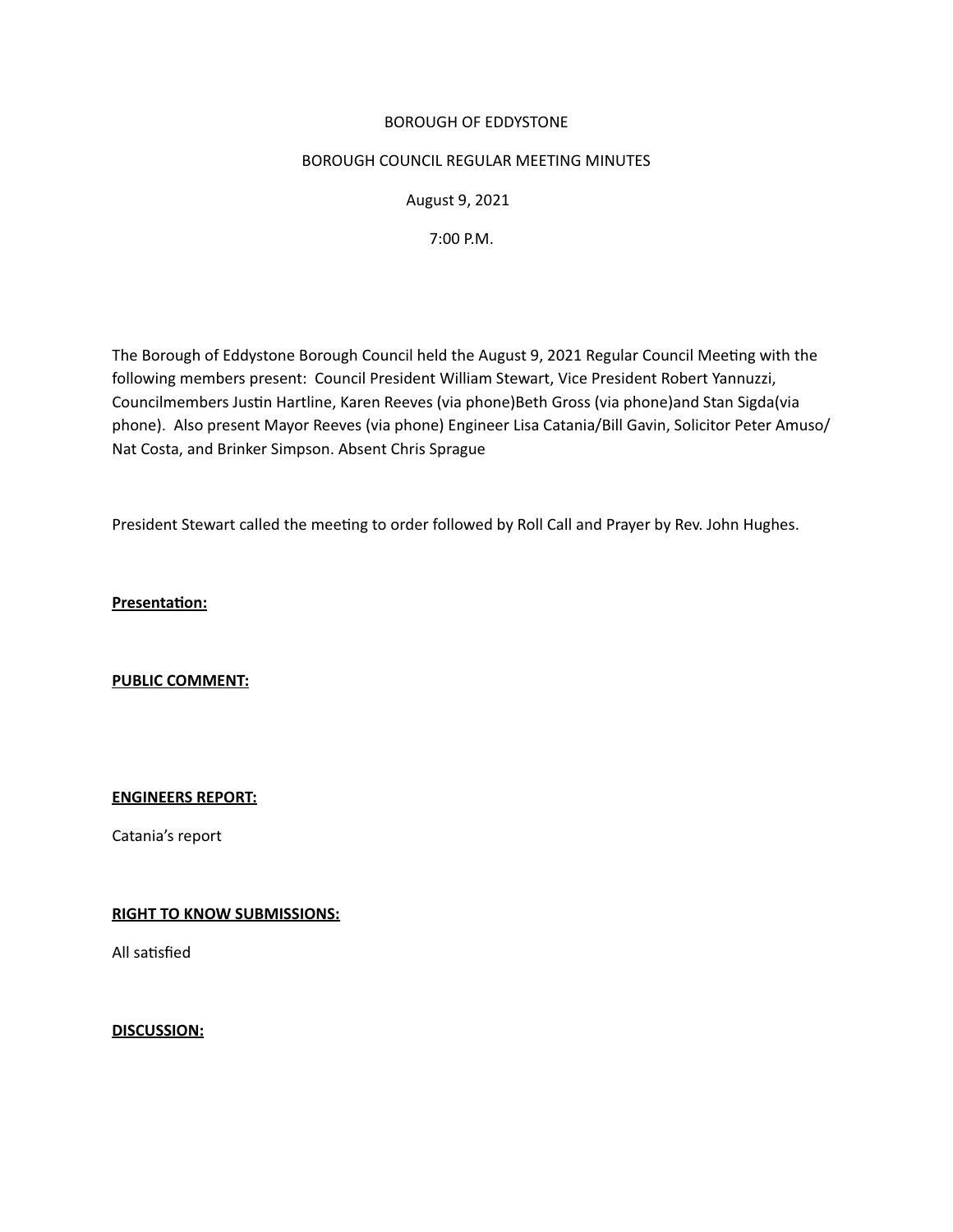### BOROUGH OF EDDYSTONE

### BOROUGH COUNCIL REGULAR MEETING MINUTES

 August 9, 2021

 7:00 P.M.

The Borough of Eddystone Borough Council held the August 9, 2021 Regular Council Meeting with the following members present: Council President William Stewart, Vice President Robert Yannuzzi, Councilmembers Justin Hartline, Karen Reeves (via phone)Beth Gross (via phone)and Stan Sigda(via phone). Also present Mayor Reeves (via phone) Engineer Lisa Catania/Bill Gavin, Solicitor Peter Amuso/ Nat Costa, and Brinker Simpson. Absent Chris Sprague

President Stewart called the meetng to order followed by Roll Call and Prayer by Rev. John Hughes.

**Presentaton:** 

**PUBLIC COMMENT:** 

#### **ENGINEERS REPORT:**

Catania's report

# **RIGHT TO KNOW SUBMISSIONS:**

All satisfied

#### **DISCUSSION:**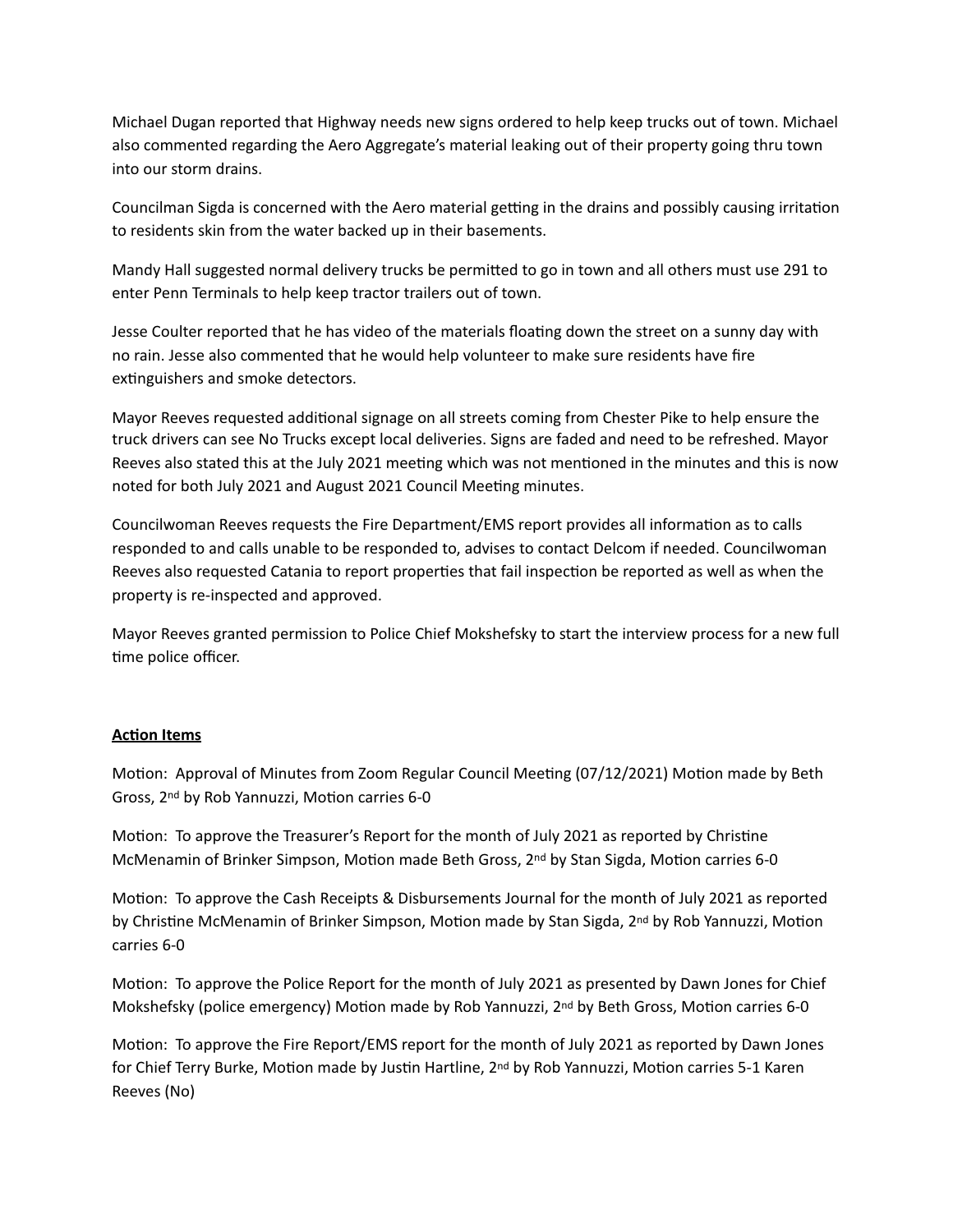Michael Dugan reported that Highway needs new signs ordered to help keep trucks out of town. Michael also commented regarding the Aero Aggregate's material leaking out of their property going thru town into our storm drains.

Councilman Sigda is concerned with the Aero material getting in the drains and possibly causing irritation to residents skin from the water backed up in their basements. 

Mandy Hall suggested normal delivery trucks be permited to go in town and all others must use 291 to enter Penn Terminals to help keep tractor trailers out of town.

Jesse Coulter reported that he has video of the materials floating down the street on a sunny day with no rain. Jesse also commented that he would help volunteer to make sure residents have fire extinguishers and smoke detectors.

Mayor Reeves requested additonal signage on all streets coming from Chester Pike to help ensure the truck drivers can see No Trucks except local deliveries. Signs are faded and need to be refreshed. Mayor Reeves also stated this at the July 2021 meetng which was not mentoned in the minutes and this is now noted for both July 2021 and August 2021 Council Meetng minutes.

Councilwoman Reeves requests the Fire Department/EMS report provides all informaton as to calls responded to and calls unable to be responded to, advises to contact Delcom if needed. Councilwoman Reeves also requested Catania to report properties that fail inspection be reported as well as when the property is re-inspected and approved.

Mayor Reeves granted permission to Police Chief Mokshefsky to start the interview process for a new full time police officer.

# **Acton Items**

Motion: Approval of Minutes from Zoom Regular Council Meeting (07/12/2021) Motion made by Beth Gross, 2<sup>nd</sup> by Rob Yannuzzi, Motion carries 6-0

Motion: To approve the Treasurer's Report for the month of July 2021 as reported by Christine McMenamin of Brinker Simpson, Motion made Beth Gross, 2<sup>nd</sup> by Stan Sigda, Motion carries 6-0

Motion: To approve the Cash Receipts & Disbursements Journal for the month of July 2021 as reported by Christine McMenamin of Brinker Simpson, Motion made by Stan Sigda, 2<sup>nd</sup> by Rob Yannuzzi, Motion carries 6-0

Motion: To approve the Police Report for the month of July 2021 as presented by Dawn Jones for Chief Mokshefsky (police emergency) Motion made by Rob Yannuzzi, 2<sup>nd</sup> by Beth Gross, Motion carries 6-0

Motion: To approve the Fire Report/EMS report for the month of July 2021 as reported by Dawn Jones for Chief Terry Burke, Motion made by Justin Hartline, 2<sup>nd</sup> by Rob Yannuzzi, Motion carries 5-1 Karen Reeves (No)